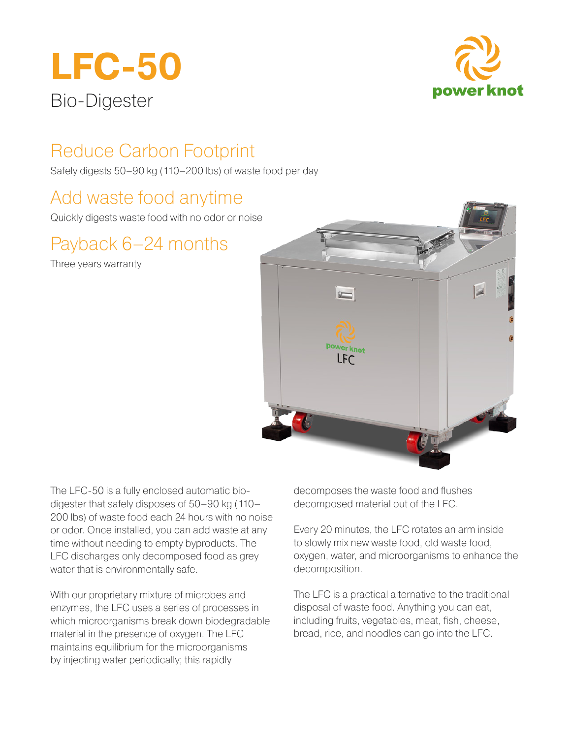# **LFC-50** Bio-Digester



## Reduce Carbon Footprint

Safely digests 50–90 kg (110–200 lbs) of waste food per day

### Add waste food anytime

Quickly digests waste food with no odor or noise

### Payback 6–24 months

Three years warranty



The LFC-50 is a fully enclosed automatic biodigester that safely disposes of 50–90 kg (110– 200 lbs) of waste food each 24 hours with no noise or odor. Once installed, you can add waste at any time without needing to empty byproducts. The LFC discharges only decomposed food as grey water that is environmentally safe.

With our proprietary mixture of microbes and enzymes, the LFC uses a series of processes in which microorganisms break down biodegradable material in the presence of oxygen. The LFC maintains equilibrium for the microorganisms by injecting water periodically; this rapidly

decomposes the waste food and flushes decomposed material out of the LFC.

Every 20 minutes, the LFC rotates an arm inside to slowly mix new waste food, old waste food, oxygen, water, and microorganisms to enhance the decomposition.

The LFC is a practical alternative to the traditional disposal of waste food. Anything you can eat, including fruits, vegetables, meat, fish, cheese, bread, rice, and noodles can go into the LFC.